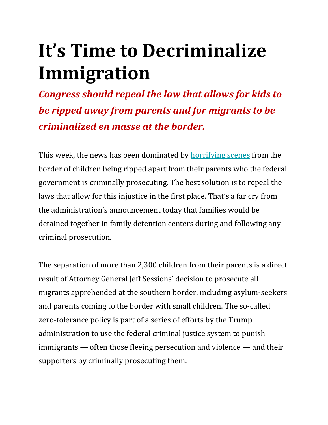# **It's Time to Decriminalize Immigration**

*Congress should repeal the law that allows for kids to be ripped away from parents and for migrants to be criminalized en masse at the border.*

This week, the news has been dominated by **[horrifying scenes](https://www.texasobserver.org/texas-officials-allow-15-immigrant-shelters-hold-more-kid-than-licenses-permit/)** from the border of children being ripped apart from their parents who the federal government is criminally prosecuting. The best solution is to repeal the laws that allow for this injustice in the first place. That's a far cry from the administration's announcement today that families would be detained together in family detention centers during and following any criminal prosecution.

The separation of more than 2,300 children from their parents is a direct result of Attorney General Jeff Sessions' decision to prosecute all migrants apprehended at the southern border, including asylum-seekers and parents coming to the border with small children. The so-called zero-tolerance policy is part of a series of efforts by the Trump administration to use the federal criminal justice system to punish immigrants — often those fleeing persecution and violence — and their supporters by criminally prosecuting them.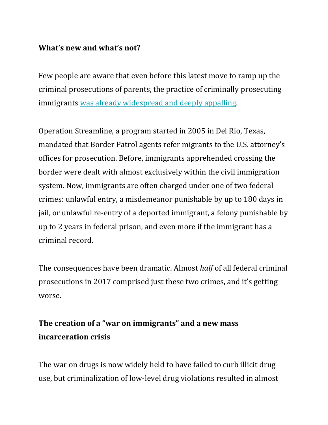## **What's new and what's not?**

Few people are aware that even before this latest move to ramp up the criminal prosecutions of parents, the practice of criminally prosecuting immigrants [was already widespread and deeply appalling.](https://www.texasobserver.org/how-we-got-here-the-disturbing-path-that-leads-to-child-prison-camps/)

Operation Streamline, a program started in 2005 in Del Rio, Texas, mandated that Border Patrol agents refer migrants to the U.S. attorney's offices for prosecution. Before, immigrants apprehended crossing the border were dealt with almost exclusively within the civil immigration system. Now, immigrants are often charged under one of two federal crimes: unlawful entry, a misdemeanor punishable by up to 180 days in jail, or unlawful re-entry of a deported immigrant, a felony punishable by up to 2 years in federal prison, and even more if the immigrant has a criminal record.

The consequences have been dramatic. Almost *half* of all federal criminal prosecutions in 2017 comprised just these two crimes, and it's getting worse.

## **The creation of a "war on immigrants" and a new mass incarceration crisis**

The war on drugs is now widely held to have failed to curb illicit drug use, but criminalization of low-level drug violations resulted in almost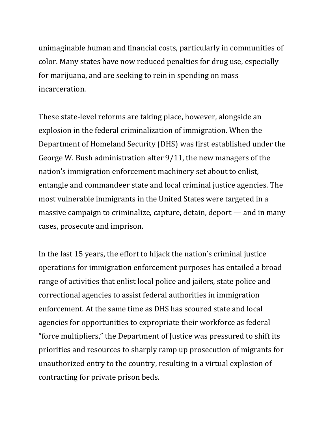unimaginable human and financial costs, particularly in communities of color. Many states have now reduced penalties for drug use, especially for marijuana, and are seeking to rein in spending on mass incarceration.

These state-level reforms are taking place, however, alongside an explosion in the federal criminalization of immigration. When the Department of Homeland Security (DHS) was first established under the George W. Bush administration after 9/11, the new managers of the nation's immigration enforcement machinery set about to enlist, entangle and commandeer state and local criminal justice agencies. The most vulnerable immigrants in the United States were targeted in a massive campaign to criminalize, capture, detain, deport — and in many cases, prosecute and imprison.

In the last 15 years, the effort to hijack the nation's criminal justice operations for immigration enforcement purposes has entailed a broad range of activities that enlist local police and jailers, state police and correctional agencies to assist federal authorities in immigration enforcement. At the same time as DHS has scoured state and local agencies for opportunities to expropriate their workforce as federal "force multipliers," the Department of Justice was pressured to shift its priorities and resources to sharply ramp up prosecution of migrants for unauthorized entry to the country, resulting in a virtual explosion of contracting for private prison beds.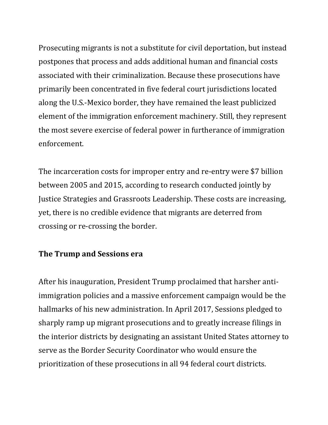Prosecuting migrants is not a substitute for civil deportation, but instead postpones that process and adds additional human and financial costs associated with their criminalization. Because these prosecutions have primarily been concentrated in five federal court jurisdictions located along the U.S.-Mexico border, they have remained the least publicized element of the immigration enforcement machinery. Still, they represent the most severe exercise of federal power in furtherance of immigration enforcement.

The incarceration costs for improper entry and re-entry were \$7 billion between 2005 and 2015, according to research conducted jointly by Justice Strategies and Grassroots Leadership. These costs are increasing, yet, there is no credible evidence that migrants are deterred from crossing or re-crossing the border.

### **The Trump and Sessions era**

After his inauguration, President Trump proclaimed that harsher antiimmigration policies and a massive enforcement campaign would be the hallmarks of his new administration. In April 2017, Sessions pledged to sharply ramp up migrant prosecutions and to greatly increase filings in the interior districts by designating an assistant United States attorney to serve as the Border Security Coordinator who would ensure the prioritization of these prosecutions in all 94 federal court districts.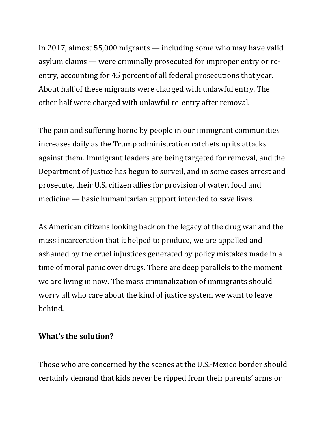In 2017, almost 55,000 migrants — including some who may have valid asylum claims — were criminally prosecuted for improper entry or reentry, accounting for 45 percent of all federal prosecutions that year. About half of these migrants were charged with unlawful entry. The other half were charged with unlawful re-entry after removal.

The pain and suffering borne by people in our immigrant communities increases daily as the Trump administration ratchets up its attacks against them. Immigrant leaders are being targeted for removal, and the Department of Justice has begun to surveil, and in some cases arrest and prosecute, their U.S. citizen allies for provision of water, food and medicine — basic humanitarian support intended to save lives.

As American citizens looking back on the legacy of the drug war and the mass incarceration that it helped to produce, we are appalled and ashamed by the cruel injustices generated by policy mistakes made in a time of moral panic over drugs. There are deep parallels to the moment we are living in now. The mass criminalization of immigrants should worry all who care about the kind of justice system we want to leave behind.

### **What's the solution?**

Those who are concerned by the scenes at the U.S.-Mexico border should certainly demand that kids never be ripped from their parents' arms or